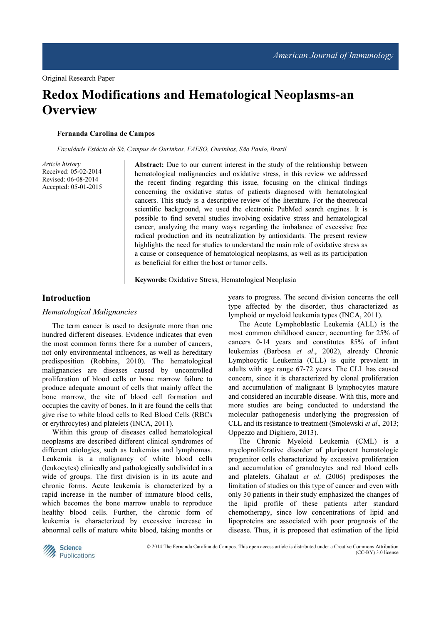# Redox Modifications and Hematological Neoplasms-an **Overview**

### Fernanda Carolina de Campos

Faculdade Estácio de Sá, Campus de Ourinhos, FAESO, Ourinhos, São Paulo, Brazil

Article history Received: 05-02-2014 Revised: 06-08-2014 Accepted: 05-01-2015

Abstract: Due to our current interest in the study of the relationship between hematological malignancies and oxidative stress, in this review we addressed the recent finding regarding this issue, focusing on the clinical findings concerning the oxidative status of patients diagnosed with hematological cancers. This study is a descriptive review of the literature. For the theoretical scientific background, we used the electronic PubMed search engines. It is possible to find several studies involving oxidative stress and hematological cancer, analyzing the many ways regarding the imbalance of excessive free radical production and its neutralization by antioxidants. The present review highlights the need for studies to understand the main role of oxidative stress as a cause or consequence of hematological neoplasms, as well as its participation as beneficial for either the host or tumor cells.

Keywords: Oxidative Stress, Hematological Neoplasia

# Introduction

#### Hematological Malignancies

The term cancer is used to designate more than one hundred different diseases. Evidence indicates that even the most common forms there for a number of cancers, not only environmental influences, as well as hereditary predisposition (Robbins, 2010). The hematological malignancies are diseases caused by uncontrolled proliferation of blood cells or bone marrow failure to produce adequate amount of cells that mainly affect the bone marrow, the site of blood cell formation and occupies the cavity of bones. In it are found the cells that give rise to white blood cells to Red Blood Cells (RBCs or erythrocytes) and platelets (INCA, 2011).

Within this group of diseases called hematological neoplasms are described different clinical syndromes of different etiologies, such as leukemias and lymphomas. Leukemia is a malignancy of white blood cells (leukocytes) clinically and pathologically subdivided in a wide of groups. The first division is in its acute and chronic forms. Acute leukemia is characterized by a rapid increase in the number of immature blood cells, which becomes the bone marrow unable to reproduce healthy blood cells. Further, the chronic form of leukemia is characterized by excessive increase in abnormal cells of mature white blood, taking months or

years to progress. The second division concerns the cell type affected by the disorder, thus characterized as lymphoid or myeloid leukemia types (INCA, 2011).

The Acute Lymphoblastic Leukemia (ALL) is the most common childhood cancer, accounting for 25% of cancers 0-14 years and constitutes 85% of infant leukemias (Barbosa et al., 2002), already Chronic Lymphocytic Leukemia (CLL) is quite prevalent in adults with age range 67-72 years. The CLL has caused concern, since it is characterized by clonal proliferation and accumulation of malignant B lymphocytes mature and considered an incurable disease. With this, more and more studies are being conducted to understand the molecular pathogenesis underlying the progression of CLL and its resistance to treatment (Smolewski et al., 2013; Oppezzo and Dighiero, 2013).

The Chronic Myeloid Leukemia (CML) is a myeloproliferative disorder of pluripotent hematologic progenitor cells characterized by excessive proliferation and accumulation of granulocytes and red blood cells and platelets. Ghalaut et al. (2006) predisposes the limitation of studies on this type of cancer and even with only 30 patients in their study emphasized the changes of the lipid profile of these patients after standard chemotherapy, since low concentrations of lipid and lipoproteins are associated with poor prognosis of the disease. Thus, it is proposed that estimation of the lipid



 © 2014 The Fernanda Carolina de Campos. This open access article is distributed under a Creative Commons Attribution (CC-BY) 3.0 license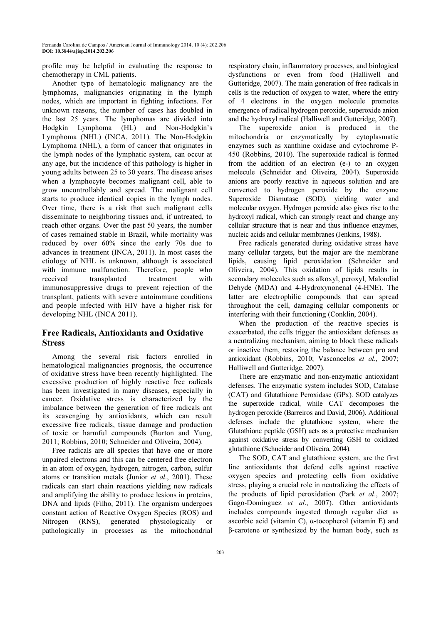profile may be helpful in evaluating the response to chemotherapy in CML patients.

Another type of hematologic malignancy are the lymphomas, malignancies originating in the lymph nodes, which are important in fighting infections. For unknown reasons, the number of cases has doubled in the last 25 years. The lymphomas are divided into Hodgkin Lymphoma (HL) and Non-Hodgkin's Lymphoma (NHL) (INCA, 2011). The Non-Hodgkin Lymphoma (NHL), a form of cancer that originates in the lymph nodes of the lymphatic system, can occur at any age, but the incidence of this pathology is higher in young adults between 25 to 30 years. The disease arises when a lymphocyte becomes malignant cell, able to grow uncontrollably and spread. The malignant cell starts to produce identical copies in the lymph nodes. Over time, there is a risk that such malignant cells disseminate to neighboring tissues and, if untreated, to reach other organs. Over the past 50 years, the number of cases remained stable in Brazil, while mortality was reduced by over 60% since the early 70s due to advances in treatment (INCA, 2011). In most cases the etiology of NHL is unknown, although is associated with immune malfunction. Therefore, people who received transplanted treatment with immunosuppressive drugs to prevent rejection of the transplant, patients with severe autoimmune conditions and people infected with HIV have a higher risk for developing NHL (INCA 2011).

# Free Radicals, Antioxidants and Oxidative Stress

Among the several risk factors enrolled in hematological malignancies prognosis, the occurrence of oxidative stress have been recently highlighted. The excessive production of highly reactive free radicals has been investigated in many diseases, especially in cancer. Oxidative stress is characterized by the imbalance between the generation of free radicals ant its scavenging by antioxidants, which can result excessive free radicals, tissue damage and production of toxic or harmful compounds (Burton and Yung, 2011; Robbins, 2010; Schneider and Oliveira, 2004).

Free radicals are all species that have one or more unpaired electrons and this can be centered free electron in an atom of oxygen, hydrogen, nitrogen, carbon, sulfur atoms or transition metals (Junior et al., 2001). These radicals can start chain reactions yielding new radicals and amplifying the ability to produce lesions in proteins, DNA and lipids (Filho, 2011). The organism undergoes constant action of Reactive Oxygen Species (ROS) and Nitrogen (RNS), generated physiologically or pathologically in processes as the mitochondrial respiratory chain, inflammatory processes, and biological dysfunctions or even from food (Halliwell and Gutteridge, 2007). The main generation of free radicals in cells is the reduction of oxygen to water, where the entry of 4 electrons in the oxygen molecule promotes emergence of radical hydrogen peroxide, superoxide anion and the hydroxyl radical (Halliwell and Gutteridge, 2007).

The superoxide anion is produced in the mitochondria or enzymatically by cytoplasmatic enzymes such as xanthine oxidase and cytochrome P-450 (Robbins, 2010). The superoxide radical is formed from the addition of an electron (e-) to an oxygen molecule (Schneider and Oliveira, 2004). Superoxide anions are poorly reactive in aqueous solution and are converted to hydrogen peroxide by the enzyme Superoxide Dismutase (SOD), yielding water and molecular oxygen. Hydrogen peroxide also gives rise to the hydroxyl radical, which can strongly react and change any cellular structure that is near and thus influence enzymes, nucleic acids and cellular membranes (Jenkins, 1988).

Free radicals generated during oxidative stress have many cellular targets, but the major are the membrane lipids, causing lipid peroxidation (Schneider and Oliveira, 2004). This oxidation of lipids results in secondary molecules such as alkoxyl, peroxyl, Malondial Dehyde (MDA) and 4-Hydroxynonenal (4-HNE). The latter are electrophilic compounds that can spread throughout the cell, damaging cellular components or interfering with their functioning (Conklin, 2004).

When the production of the reactive species is exacerbated, the cells trigger the antioxidant defenses as a neutralizing mechanism, aiming to block these radicals or inactive them, restoring the balance between pro and antioxidant (Robbins, 2010; Vasconcelos et al., 2007; Halliwell and Gutteridge, 2007).

There are enzymatic and non-enzymatic antioxidant defenses. The enzymatic system includes SOD, Catalase (CAT) and Glutathione Peroxidase (GPx). SOD catalyzes the superoxide radical, while CAT decomposes the hydrogen peroxide (Barreiros and David, 2006). Additional defenses include the glutathione system, where the Glutathione peptide (GSH) acts as a protective mechanism against oxidative stress by converting GSH to oxidized glutathione (Schneider and Oliveira, 2004).

The SOD, CAT and glutathione system, are the first line antioxidants that defend cells against reactive oxygen species and protecting cells from oxidative stress, playing a crucial role in neutralizing the effects of the products of lipid peroxidation (Park et al., 2007; Gago-Dominguez et al., 2007). Other antioxidants includes compounds ingested through regular diet as ascorbic acid (vitamin C), α-tocopherol (vitamin E) and β-carotene or synthesized by the human body, such as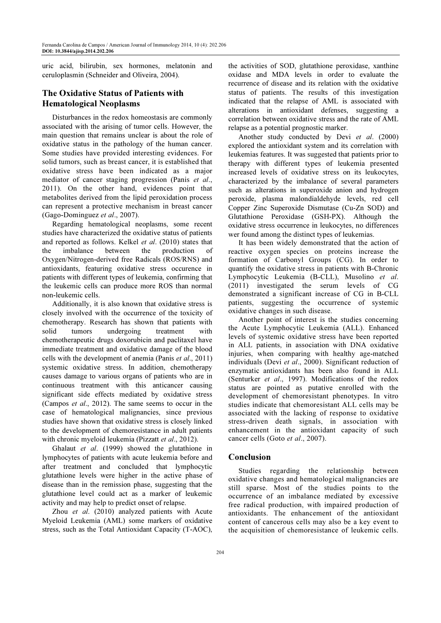uric acid, bilirubin, sex hormones, melatonin and ceruloplasmin (Schneider and Oliveira, 2004).

# The Oxidative Status of Patients with Hematological Neoplasms

Disturbances in the redox homeostasis are commonly associated with the arising of tumor cells. However, the main question that remains unclear is about the role of oxidative status in the pathology of the human cancer. Some studies have provided interesting evidences. For solid tumors, such as breast cancer, it is established that oxidative stress have been indicated as a major mediator of cancer staging progression (Panis et al., 2011). On the other hand, evidences point that metabolites derived from the lipid peroxidation process can represent a protective mechanism in breast cancer (Gago-Dominguez et al., 2007).

Regarding hematological neoplasms, some recent studies have characterized the oxidative status of patients and reported as follows. Kelkel et al. (2010) states that the imbalance between the production of Oxygen/Nitrogen-derived free Radicals (ROS/RNS) and antioxidants, featuring oxidative stress occurence in patients with different types of leukemia, confirming that the leukemic cells can produce more ROS than normal non-leukemic cells.

Additionally, it is also known that oxidative stress is closely involved with the occurrence of the toxicity of chemotherapy. Research has shown that patients with solid tumors undergoing treatment with chemotherapeutic drugs doxorubicin and paclitaxel have immediate treatment and oxidative damage of the blood cells with the development of anemia (Panis et al., 2011) systemic oxidative stress. In addition, chemotherapy causes damage to various organs of patients who are in continuous treatment with this anticancer causing significant side effects mediated by oxidative stress (Campos et al., 2012). The same seems to occur in the case of hematological malignancies, since previous studies have shown that oxidative stress is closely linked to the development of chemoresistance in adult patients with chronic myeloid leukemia (Pizzatt et al., 2012).

Ghalaut et al. (1999) showed the glutathione in lymphocytes of patients with acute leukemia before and after treatment and concluded that lymphocytic glutathione levels were higher in the active phase of disease than in the remission phase, suggesting that the glutathione level could act as a marker of leukemic activity and may help to predict onset of relapse.

Zhou et al. (2010) analyzed patients with Acute Myeloid Leukemia (AML) some markers of oxidative stress, such as the Total Antioxidant Capacity (T-AOC),

the activities of SOD, glutathione peroxidase, xanthine oxidase and MDA levels in order to evaluate the recurrence of disease and its relation with the oxidative status of patients. The results of this investigation indicated that the relapse of AML is associated with alterations in antioxidant defenses, suggesting a correlation between oxidative stress and the rate of AML relapse as a potential prognostic marker.

Another study conducted by Devi et al. (2000) explored the antioxidant system and its correlation with leukemias features. It was suggested that patients prior to therapy with different types of leukemia presented increased levels of oxidative stress on its leukocytes, characterized by the imbalance of several parameters such as alterations in superoxide anion and hydrogen peroxide, plasma malondialdehyde levels, red cell Copper Zinc Superoxide Dismutase (Cu-Zn SOD) and Glutathione Peroxidase (GSH-PX). Although the oxidative stress occurrence in leukocytes, no differences wer found among the distinct types of leukemias.

It has been widely demonstrated that the action of reactive oxygen species on proteins increase the formation of Carbonyl Groups (CG). In order to quantify the oxidative stress in patients with B-Chronic Lymphocytic Leukemia (B-CLL), Musolino et al. (2011) investigated the serum levels of CG demonstrated a significant increase of CG in B-CLL patients, suggesting the occurrence of systemic oxidative changes in such disease.

Another point of interest is the studies concerning the Acute Lymphocytic Leukemia (ALL). Enhanced levels of systemic oxidative stress have been reported in ALL patients, in association with DNA oxidative injuries, when comparing with healthy age-matched individuals (Devi et al., 2000). Significant reduction of enzymatic antioxidants has been also found in ALL (Senturker et al., 1997). Modifications of the redox status are pointed as putative enrolled with the development of chemoresistant phenotypes. In vitro studies indicate that chemoresistant ALL cells may be associated with the lacking of response to oxidative stress-driven death signals, in association with enhancement in the antioxidant capacity of such cancer cells (Goto et al., 2007).

# Conclusion

Studies regarding the relationship between oxidative changes and hematological malignancies are still sparse. Most of the studies points to the occurrence of an imbalance mediated by excessive free radical production, with impaired production of antioxidants. The enhancement of the antioxidant content of cancerous cells may also be a key event to the acquisition of chemoresistance of leukemic cells.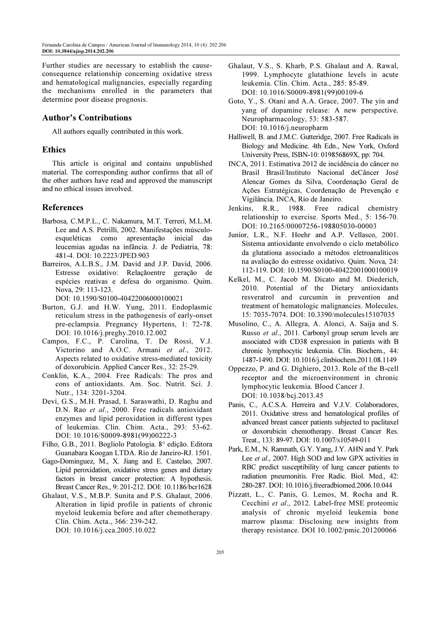Further studies are necessary to establish the causeconsequence relationship concerning oxidative stress and hematological malignancies, especially regarding the mechanisms enrolled in the parameters that determine poor disease prognosis.

# Author's Contributions

All authors equally contributed in this work.

# **Ethics**

This article is original and contains unpublished material. The corresponding author confirms that all of the other authors have read and approved the manuscript and no ethical issues involved.

# References

- Barbosa, C.M.P.L., C. Nakamura, M.T. Terreri, M.L.M. Lee and A.S. Petrilli, 2002. Manifestações músculoesqueléticas como apresentação inicial das leucemias agudas na infância. J. de Pediatria, 78: 481-4. DOI: 10.2223/JPED.903
- Barreiros, A.L.B.S., J.M. David and J.P. David, 2006. Estresse oxidativo: Relaçãoentre geração de espécies reativas e defesa do organismo. Quim. Nova, 29: 113-123.

DOI: 10.1590/S0100-40422006000100021

- Burton, G.J. and H.W. Yung, 2011. Endoplasmic reticulum stress in the pathogenesis of early-onset pre-eclampsia. Pregnancy Hypertens, 1: 72-78. DOI: 10.1016/j.preghy.2010.12.002
- Campos, F.C., P. Carolina, T. De Rossi, V.J. Victorino and A.O.C. Armani et al., 2012. Aspects related to oxidative stress-mediated toxicity of doxorubicin. Applied Cancer Res., 32: 25-29.
- Conklin, K.A., 2004. Free Radicals: The pros and cons of antioxidants. Am. Soc. Nutrit. Sci. J. Nutr., 134: 3201-3204.
- Devi, G.S., M.H. Prasad, I. Saraswathi, D. Raghu and D.N. Rao et al., 2000. Free radicals antioxidant enzymes and lipid peroxidation in different types of leukemias. Clin. Chim. Acta., 293: 53-62. DOI: 10.1016/S0009-8981(99)00222-3
- Filho, G.B., 2011. Bogliolo Patologia. 8° edição. Editora Guanabara Koogan LTDA. Rio de Janeiro-RJ. 1501.
- Gago-Dominguez, M., X. Jiang and E. Castelao, 2007. Lipid peroxidation, oxidative stress genes and dietary factors in breast cancer protection: A hypothesis. Breast Cancer Res., 9: 201-212. DOI: 10.1186/bcr1628
- Ghalaut, V.S., M.B.P. Sunita and P.S. Ghalaut, 2006. Alteration in lipid profile in patients of chronic myeloid leukemia before and after chemotherapy. Clin. Chim. Acta., 366: 239-242. DOI: 10.1016/j.cca.2005.10.022
- Ghalaut, V.S., S. Kharb, P.S. Ghalaut and A. Rawal, 1999. Lymphocyte glutathione levels in acute leukemia. Clin. Chim. Acta., 285: 85-89. DOI: 10.1016/S0009-8981(99)00109-6
- Goto, Y., S. Otani and A.A. Grace, 2007. The yin and yang of dopamine release: A new perspective. Neuropharmacology, 53: 583-587. DOI: 10.1016/j.neuropharm
- Halliwell, B. and J.M.C. Gutteridge, 2007. Free Radicals in Biology and Medicine. 4th Edn., New York, Oxford University Press, ISBN-10: 019856869X, pp: 704.
- INCA, 2011. Estimativa 2012 de incidência do câncer no Brasil Brasil/Instituto Nacional deCâncer José Alencar Gomes da Silva, Coordenação Geral de Ações Estratégicas, Coordenação de Prevenção e Vigilância. INCA, Rio de Janeiro.
- Jenkins, R.R., 1988. Free radical chemistry relationship to exercise. Sports Med., 5: 156-70. DOI: 10.2165/00007256-198805030-00003
- Junior, L.R., N.F. Hoehr and A.P. Vellasco, 2001. Sistema antioxidante envolvendo o ciclo metabólico da glutationa associado a métodos eletroanalíticos na avaliação do estresse oxidativo. Quim. Nova, 24: 112-119. DOI: 10.1590/S0100-40422001000100019
- Kelkel, M., C. Jacob M. Dicato and M. Diederich, 2010. Potential of the Dietary antioxidants resveratrol and curcumin in prevention and treatment of hematologic malignancies. Molecules, 15: 7035-7074. DOI: 10.3390/molecules15107035
- Musolino, C., A. Allegra, A. Alonci, A. Saija and S. Russo et al., 2011. Carbonyl group serum levels are associated with CD38 expression in patients with B chronic lymphocytic leukemia. Clin. Biochem., 44: 1487-1490. DOI: 10.1016/j.clinbiochem.2011.08.1149
- Oppezzo, P. and G. Dighiero, 2013. Role of the B-cell receptor and the microenvironment in chronic lymphocytic leukemia. Blood Cancer J. DOI: 10.1038/bcj.2013.45
- Panis, C., A.C.S.A. Herreira and V.J.V. Colaboradores, 2011. Oxidative stress and hematological profiles of advanced breast cancer patients subjected to paclitaxel or doxorubicin chemotherapy. Breast Cancer Res. Treat., 133: 89-97. DOI: 10.1007/s10549-011
- Park, E.M., N. Ramnath, G.Y. Yang, J.Y. AHN and Y. Park Lee *et al.*, 2007. High SOD and low GPX activities in RBC predict susceptibility of lung cancer patients to radiation pneumonitis. Free Radic. Biol. Med., 42: 280-287. DOI: 10.1016/j.freeradbiomed.2006.10.044
- Pizzatt, L., C. Panis, G. Lemos, M. Rocha and R. Cecchini et al., 2012. Label-free MSE proteomic analysis of chronic myeloid leukemia bone marrow plasma: Disclosing new insights from therapy resistance. DOI 10.1002/pmic.201200066